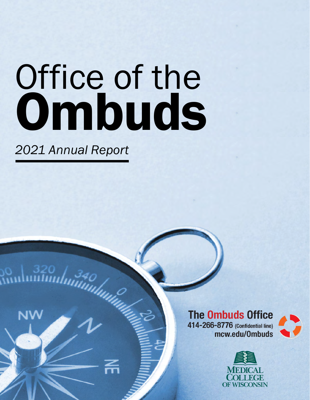# Office of the **Ombuds**

*2021 Annual Report*

NW

**The Ombuds Office** 414-266-8776 (Confidential line) mcw.edu/0mbuds



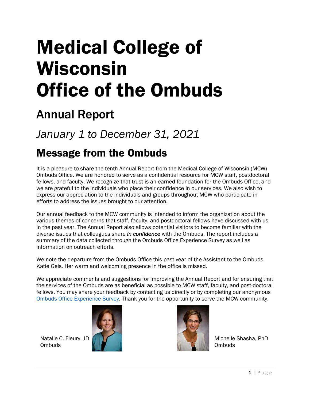## Medical College of Wisconsin Office of the Ombuds

## Annual Report

## *January 1 to December 31, 2021*

## Message from the Ombuds

It is a pleasure to share the tenth Annual Report from the Medical College of Wisconsin (MCW) Ombuds Office. We are honored to serve as a confidential resource for MCW staff, postdoctoral fellows, and faculty. We recognize that trust is an earned foundation for the Ombuds Office, and we are grateful to the individuals who place their confidence in our services. We also wish to express our appreciation to the individuals and groups throughout MCW who participate in efforts to address the issues brought to our attention.

Our annual feedback to the MCW community is intended to inform the organization about the various themes of concerns that staff, faculty, and postdoctoral fellows have discussed with us in the past year. The Annual Report also allows potential visitors to become familiar with the diverse issues that colleagues share *in confidence* with the Ombuds. The report includes a summary of the data collected through the Ombuds Office Experience Survey as well as information on outreach efforts.

We note the departure from the Ombuds Office this past year of the Assistant to the Ombuds, Katie Geis. Her warm and welcoming presence in the office is missed.

We appreciate comments and suggestions for improving the Annual Report and for ensuring that the services of the Ombuds are as beneficial as possible to MCW staff, faculty, and post-doctoral fellows. You may share your feedback by contacting us directly or by completing our anonymous [Ombuds Office Experience Survey.](https://survey.az1.qualtrics.com/jfe/form/SV_cC3oHpgNJBrpttj) Thank you for the opportunity to serve the MCW community.

Natalie C. Fleury, JD **Ombuds** 





Michelle Shasha, PhD **Ombuds**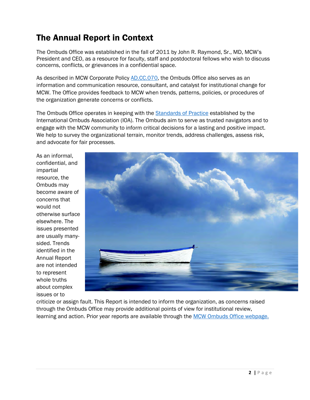## The Annual Report in Context

The Ombuds Office was established in the fall of 2011 by John R. Raymond, Sr., MD, MCW's President and CEO, as a resource for faculty, staff and postdoctoral fellows who wish to discuss concerns, conflicts, or grievances in a confidential space.

As described in MCW Corporate Policy [AD.CC.070,](https://infoscope.mcw.edu/Corporate-Policies/Ombuds-Office.htm) the Ombuds Office also serves as an information and communication resource, consultant, and catalyst for institutional change for MCW. The Office provides feedback to MCW when trends, patterns, policies, or procedures of the organization generate concerns or conflicts.

The Ombuds Office operates in keeping with the [Standards of Practice](https://www.ombudsassociation.org/standards-of-practice-code-of-ethics) established by the International Ombuds Association (IOA). The Ombuds aim to serve as trusted navigators and to engage with the MCW community to inform critical decisions for a lasting and positive impact. We help to survey the organizational terrain, monitor trends, address challenges, assess risk, and advocate for fair processes.

As an informal, confidential, and impartial resource, the Ombuds may become aware of concerns that would not otherwise surface elsewhere. The issues presented are usually manysided. Trends identified in the Annual Report are not intended to represent whole truths about complex issues or to



criticize or assign fault. This Report is intended to inform the organization, as concerns raised through the Ombuds Office may provide additional points of view for institutional review, learning and action. Prior year reports are available through th[e MCW Ombuds Office webpage.](https://www.mcw.edu/departments/ombuds-office/resources)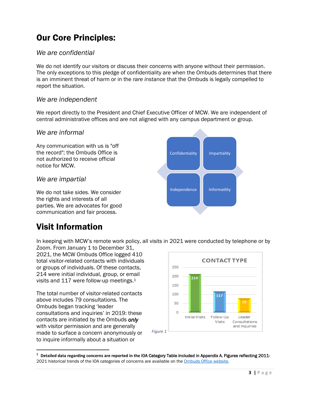## Our Core Principles:

#### *We are confidential*

We do not identify our visitors or discuss their concerns with anyone without their permission. The only exceptions to this pledge of confidentiality are when the Ombuds determines that there is an imminent threat of harm or in the *rare instance* that the Ombuds is legally compelled to report the situation.

#### *We are independent*

We report directly to the President and Chief Executive Officer of MCW. We are independent of central administrative offices and are not aligned with any campus department or group.

#### *We are informal*

Any communication with us is "off the record"; the Ombuds Office is not authorized to receive official notice for MCW.

#### *We are impartial*

We do not take sides. We consider the rights and interests of all parties. We are advocates for good communication and fair process.

## Visit Information

In keeping with MCW's remote work policy, all visits in 2021 were conducted by telephone or by

Zoom. From January 1 to December 31, 2021, the MCW Ombuds Office logged 410 total visitor-related contacts with individuals or groups of individuals. Of these contacts, 214 were initial individual, group, or email visits and 117 were follow-up meetings.<sup>1</sup>

The total number of visitor-related contacts above includes 79 consultations. The Ombuds began tracking 'leader consultations and inquiries' in 2019: these contacts are initiated by the Ombuds *only* with visitor permission and are generally made to surface a concern anonymously or to inquire informally about a situation or



**<sup>1</sup> Detailed data regarding concerns are reported in the** IOA Category Table included in Appendix A. Figures reflecting 2011- 2021 historical trends of the IOA categories of concerns are available on th[e Ombuds Office website.](https://www.mcw.edu/departments/ombuds-office)

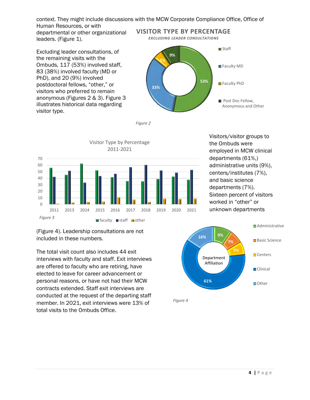context. They might include discussions with the MCW Corporate Compliance Office, Office of Human Resources, or with

departmental or other organizational leaders. (Figure 1).

Excluding leader consultations, of the remaining visits with the Ombuds, 117 (53%) involved staff, 83 (38%) involved faculty (MD or PhD), and 20 (9%) involved postdoctoral fellows, "other," or visitors who preferred to remain anonymous (Figures 2 & 3). Figure 3 illustrates historical data regarding visitor type.



*Figure 2*



(Figure 4). Leadership consultations are not included in these numbers.

The total visit count also includes 44 exit interviews with faculty and staff. Exit interviews are offered to faculty who are retiring, have elected to leave for career advancement or personal reasons, or have not had their MCW contracts extended. Staff exit interviews are conducted at the request of the departing staff member. In 2021, exit interviews were 13% of total visits to the Ombuds Office.

Visitors/visitor groups to the Ombuds were employed in MCW clinical departments (61%,) administrative units (9%), centers/institutes (7%), and basic science departments (7%). Sixteen percent of visitors worked in "other" or unknown departments



*Figure 4*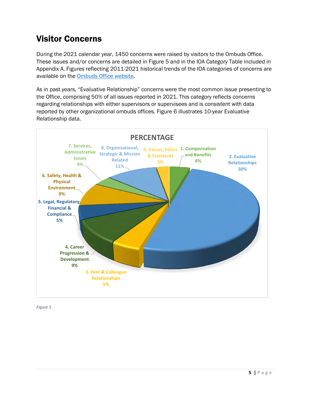## Visitor Concerns

During the 2021 calendar year, 1450 concerns were raised by visitors to the Ombuds Office. These issues and/or concerns are detailed in Figure 5 and in the IOA Category Table included in Appendix A. Figures reflecting 2011-2021 historical trends of the IOA categories of concerns are available on the [Ombuds Office website.](https://www.mcw.edu/departments/ombuds-office)

As in past years, "Evaluative Relationship" concerns were the most common issue presenting to the Office, comprising 50% of all issues reported in 2021. This category reflects concerns regarding relationships with either supervisors or supervisees and is consistent with data reported by other organizational ombuds offices. Figure 6 illustrates 10-year Evaluative Relationship data.



*Figure 5*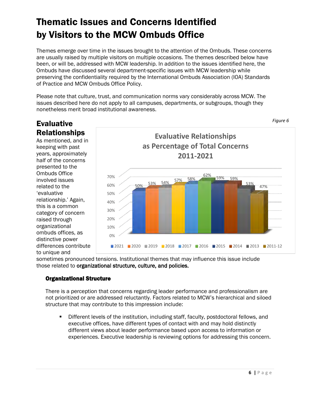## Thematic Issues and Concerns Identified by Visitors to the MCW Ombuds Office

Themes emerge over time in the issues brought to the attention of the Ombuds. These concerns are usually raised by multiple visitors on multiple occasions. The themes described below have been, or will be, addressed with MCW leadership. In addition to the issues identified here, the Ombuds have discussed several department-specific issues with MCW leadership while preserving the confidentiality required by the International Ombuds Association (IOA) Standards of Practice and MCW Ombuds Office Policy.

Please note that culture, trust, and communication norms vary considerably across MCW. The issues described here do not apply to all campuses, departments, or subgroups, though they nonetheless merit broad institutional awareness.

#### Evaluative Relationships

As mentioned, and in keeping with past years, approximately half of the concerns presented to the Ombuds Office involved issues related to the 'evaluative relationship.' Again, this is a common category of concern raised through organizational ombuds offices, as distinctive power differences contribute to unique and



sometimes pronounced tensions. Institutional themes that may influence this issue include those related to organizational structure, culture, and policies.

#### Organizational Structure

There is a perception that concerns regarding leader performance and professionalism are not prioritized or are addressed reluctantly. Factors related to MCW's hierarchical and siloed structure that may contribute to this impression include:

Different levels of the institution, including staff, faculty, postdoctoral fellows, and executive offices, have different types of contact with and may hold distinctly different views about leader performance based upon access to information or experiences. Executive leadership is reviewing options for addressing this concern.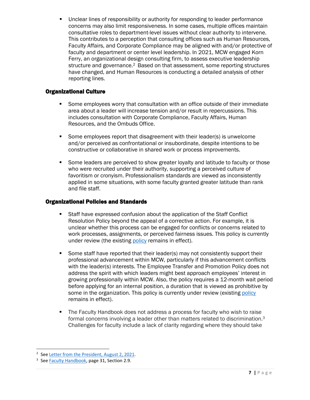▪ Unclear lines of responsibility or authority for responding to leader performance concerns may also limit responsiveness. In some cases, multiple offices maintain consultative roles to department-level issues without clear authority to intervene. This contributes to a perception that consulting offices such as Human Resources, Faculty Affairs, and Corporate Compliance may be aligned with and/or protective of faculty and department or center level leadership. In 2021, MCW engaged Korn Ferry, an organizational design consulting firm, to assess executive leadership structure and governance.<sup>2</sup> Based on that assessment, some reporting structures have changed, and Human Resources is conducting a detailed analysis of other reporting lines.

#### Organizational Culture

- Some employees worry that consultation with an office outside of their immediate area about a leader will increase tension and/or result in repercussions. This includes consultation with Corporate Compliance, Faculty Affairs, Human Resources, and the Ombuds Office.
- Some employees report that disagreement with their leader(s) is unwelcome and/or perceived as confrontational or insubordinate, despite intentions to be constructive or collaborative in shared work or process improvements.
- Some leaders are perceived to show greater loyalty and latitude to faculty or those who were recruited under their authority, supporting a perceived culture of favoritism or cronyism. Professionalism standards are viewed as inconsistently applied in some situations, with some faculty granted greater latitude than rank and file staff.

#### Organizational Policies and Standards

- Staff have expressed confusion about the application of the Staff Conflict Resolution Policy beyond the appeal of a corrective action. For example, it is unclear whether this process can be engaged for conflicts or concerns related to work processes, assignments, or perceived fairness issues. This policy is currently under review (the existing [policy](https://infoscope.mcw.edu/Corporate-Policies/Staff-Conflict-Resolution.htm) remains in effect).
- Some staff have reported that their leader(s) may not consistently support their professional advancement within MCW, particularly if this advancement conflicts with the leader(s) interests. The Employee Transfer and Promotion Policy does not address the spirit with which leaders might best approach employees' interest in growing professionally within MCW. Also, the policy requires a 12-month wait period before applying for an internal position, a duration that is viewed as prohibitive by some in the organization. This [policy](https://infoscope.mcw.edu/Corporate-Policies/Employee-Transfer-Promotion.htm) is currently under review (existing policy remains in effect).
- The Faculty Handbook does not address a process for faculty who wish to raise formal concerns involving a leader other than matters related to discrimination.<sup>3</sup> Challenges for faculty include a lack of clarity regarding where they should take

<sup>&</sup>lt;sup>2</sup> See [Letter from the President, August](https://infoscope.mcw.edu/NewsCenter/MCWNews/Letter-from-the-President-August-2021-Transparency-with-data-sharing.htm) 2, 2021.

<sup>&</sup>lt;sup>3</sup> See [Faculty Handbook,](https://www.mcw.edu/-/media/MCW/Departments/Faculty-Affairs/Faculty-Handbook_July-1-2021-APPROVED.pdf) page 31, Section 2.9.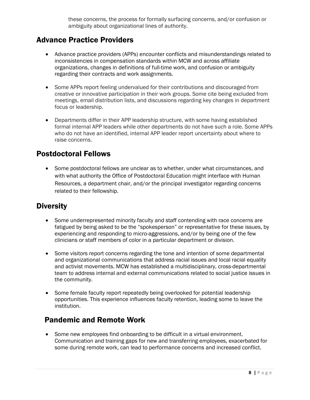these concerns, the process for formally surfacing concerns, and/or confusion or ambiguity about organizational lines of authority.

#### Advance Practice Providers

- Advance practice providers (APPs) encounter conflicts and misunderstandings related to inconsistencies in compensation standards within MCW and across affiliate organizations, changes in definitions of full-time work, and confusion or ambiguity regarding their contracts and work assignments.
- Some APPs report feeling undervalued for their contributions and discouraged from creative or innovative participation in their work groups. Some cite being excluded from meetings, email distribution lists, and discussions regarding key changes in department focus or leadership.
- Departments differ in their APP leadership structure, with some having established formal internal APP leaders while other departments do not have such a role. Some APPs who do not have an identified, internal APP leader report uncertainty about where to raise concerns.

#### Postdoctoral Fellows

• Some postdoctoral fellows are unclear as to whether, under what circumstances, and with what authority the Office of Postdoctoral Education might interface with Human Resources, a department chair, and/or the principal investigator regarding concerns related to their fellowship.

#### **Diversity**

- Some underrepresented minority faculty and staff contending with race concerns are fatigued by being asked to be the "spokesperson" or representative for these issues, by experiencing and responding to micro-aggressions, and/or by being one of the few clinicians or staff members of color in a particular department or division.
- Some visitors report concerns regarding the tone and intention of some departmental and organizational communications that address racial issues and local racial equality and activist movements. MCW has established a multidisciplinary, cross-departmental team to address internal and external communications related to social justice issues in the community.
- Some female faculty report repeatedly being overlooked for potential leadership opportunities. This experience influences faculty retention, leading some to leave the institution.

#### Pandemic and Remote Work

• Some new employees find onboarding to be difficult in a virtual environment. Communication and training gaps for new and transferring employees, exacerbated for some during remote work, can lead to performance concerns and increased conflict.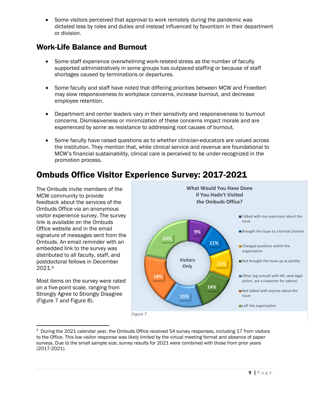• Some visitors perceived that approval to work remotely during the pandemic was dictated less by roles and duties and instead influenced by favoritism in their department or division.

#### Work-Life Balance and Burnout

- Some staff experience overwhelming work-related stress as the number of faculty supported administratively in some groups has outpaced staffing or because of staff shortages caused by terminations or departures.
- Some faculty and staff have noted that differing priorities between MCW and Froedtert may slow responsiveness to workplace concerns, increase burnout, and decrease employee retention.
- Department and center leaders vary in their sensitivity and responsiveness to burnout concerns. Dismissiveness or minimization of these concerns impact morale and are experienced by some as resistance to addressing root causes of burnout.
- Some faculty have raised questions as to whether clinician-educators are valued across the institution. They mention that, while clinical service and revenue are foundational to MCW's financial sustainability, clinical care is perceived to be under-recognized in the promotion process.

## Ombuds Office Visitor Experience Survey: 2017-2021

The Ombuds invite members of the MCW community to provide feedback about the services of the Ombuds Office via an anonymous visitor experience survey. The survey link is available on the Ombuds Office website and in the email signature of messages sent from the Ombuds. An email reminder with an embedded link to the survey was distributed to all faculty, staff, and postdoctoral fellows in December 2021. 4

Most items on the survey were rated on a five-point scale, ranging from Strongly Agree to Strongly Disagree (Figure 7 and Figure 8).



<sup>&</sup>lt;sup>4</sup> During the 2021 calendar year, the Ombuds Office received 54 survey responses, including 17 from visitors to the Office. This low visitor response was likely limited by the virtual meeting format and absence of paper surveys. Due to the small sample size, survey results for 2021 were combined with those from prior years (2017-2021).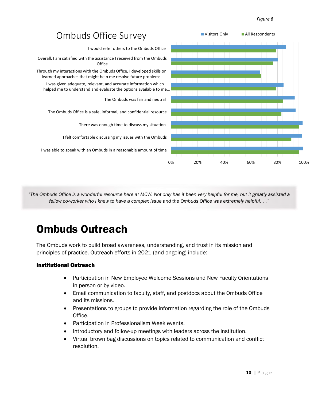#### *Figure 8*



*"The Ombuds Office is a wonderful resource here at MCW. Not only has it been very helpful for me, but it greatly assisted a fellow co-worker who I knew to have a complex issue and the Ombuds Office was extremely helpful. . ."*

## Ombuds Outreach

The Ombuds work to build broad awareness, understanding, and trust in its mission and principles of practice. Outreach efforts in 2021 (and ongoing) include:

#### Institutional Outreach

- Participation in New Employee Welcome Sessions and New Faculty Orientations in person or by video.
- Email communication to faculty, staff, and postdocs about the Ombuds Office and its missions.
- Presentations to groups to provide information regarding the role of the Ombuds Office.
- Participation in Professionalism Week events.
- Introductory and follow-up meetings with leaders across the institution.
- Virtual brown bag discussions on topics related to communication and conflict resolution.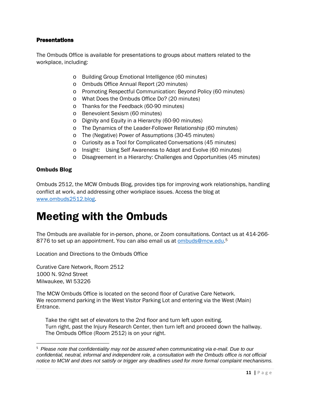#### **Presentations**

The Ombuds Office is available for presentations to groups about matters related to the workplace, including:

- o Building Group Emotional Intelligence (60 minutes)
- o Ombuds Office Annual Report (20 minutes)
- o Promoting Respectful Communication: Beyond Policy (60 minutes)
- o What Does the Ombuds Office Do? (20 minutes)
- o Thanks for the Feedback (60-90 minutes)
- o Benevolent Sexism (60 minutes)
- o Dignity and Equity in a Hierarchy (60-90 minutes)
- o The Dynamics of the Leader-Follower Relationship (60 minutes)
- o The (Negative) Power of Assumptions (30-45 minutes)
- o Curiosity as a Tool for Complicated Conversations (45 minutes)
- o Insight: Using Self Awareness to Adapt and Evolve (60 minutes)
- o Disagreement in a Hierarchy: Challenges and Opportunities (45 minutes)

#### Ombuds Blog

Ombuds 2512, the MCW Ombuds Blog, provides tips for improving work relationships, handling conflict at work, and addressing other workplace issues. Access the blog at [www.ombuds2512.blog.](http://www.ombuds2512.blog/)

## Meeting with the Ombuds

The Ombuds are available for in-person, phone, or Zoom consultations. Contact us at 414-266- 8776 to set up an appointment. You can also email us at **ombuds@mcw.edu.**<sup>5</sup>

Location and Directions to the Ombuds Office

Curative Care Network, Room 2512 1000 N. 92nd Street Milwaukee, WI 53226

The MCW Ombuds Office is located on the second floor of Curative Care Network. We recommend parking in the West Visitor Parking Lot and entering via the West (Main) Entrance.

Take the right set of elevators to the 2nd floor and turn left upon exiting. Turn right, past the Injury Research Center, then turn left and proceed down the hallway. The Ombuds Office (Room 2512) is on your right.

<sup>5</sup> *Please note that confidentiality may not be assured when communicating via e-mail. Due to our confidential, neutral, informal and independent role, a consultation with the Ombuds office is not official notice to MCW and does not satisfy or trigger any deadlines used for more formal complaint mechanisms.*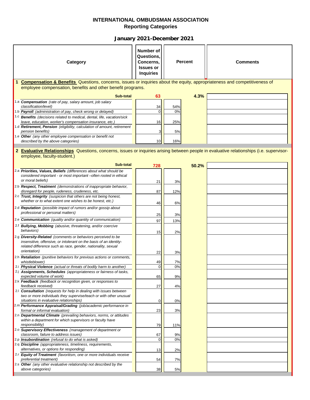| Category                                                                                                                                                                                                                      | Number of<br>Questions,<br>Concerns.<br><b>Issues or</b><br><b>Inquiries</b> |           | <b>Percent</b> | <b>Comments</b> |
|-------------------------------------------------------------------------------------------------------------------------------------------------------------------------------------------------------------------------------|------------------------------------------------------------------------------|-----------|----------------|-----------------|
| 1 Compensation & Benefits Questions, concerns, issues or inquiries about the equity, appropriateness and competitiveness of<br>employee compensation, benefits and other benefit programs.                                    |                                                                              |           |                |                 |
| Sub-total                                                                                                                                                                                                                     | 63                                                                           |           | 4.3%           |                 |
| 1.a <b>Compensation</b> (rate of pay, salary amount, job salary<br>classification/level)<br>1.b Payroll (administration of pay, check wrong or delayed)                                                                       | 34<br>$\overline{0}$                                                         | 54%<br>0% |                |                 |
| <sup>1.c</sup> Benefits (decisions related to medical, dental, life, vacation/sick<br>leave, education, worker's compensation insurance, etc.)<br>1.d Retirement, Pension (eligibility, calculation of amount, retirement     | 16                                                                           | 25%       |                |                 |
| pension benefits)<br>1.e Other (any other employee compensation or benefit not                                                                                                                                                | 3                                                                            | 5%        |                |                 |
| described by the above categories)                                                                                                                                                                                            | 10 <sup>1</sup>                                                              | 16%       |                |                 |
| 2 Evaluative Relationships Questions, concerns, issues or inquiries arising between people in evaluative relationships (i.e. supervisor-<br>employee, faculty-student.)                                                       |                                                                              |           |                |                 |
| <b>Sub-total</b>                                                                                                                                                                                                              | 728                                                                          |           | 50.2%          |                 |
| 2.a Priorities, Values, Beliefs (differences about what should be<br>considered important - or most important -often rooted in ethical<br>or moral beliefs)                                                                   | 21                                                                           | 3%        |                |                 |
| 2.b Respect, Treatment (demonstrations of inappropriate behavior,<br>disregard for people, rudeness, crudeness, etc.                                                                                                          | 87                                                                           | 12%       |                |                 |
| 2.c Trust, Integrity (suspicion that others are not being honest,<br>whether or to what extent one wishes to be honest, etc.)                                                                                                 | 46                                                                           | 6%        |                |                 |
| 2.d Reputation (possible impact of rumors and/or gossip about<br>professional or personal matters)                                                                                                                            | 25                                                                           | 3%        |                |                 |
| 2.e <b>Communication</b> (quality and/or quantity of communication)                                                                                                                                                           | 97                                                                           | 13%       |                |                 |
| 2.f Bullying, Mobbing (abusive, threatening, and/or coercive<br>behaviors)                                                                                                                                                    | 15                                                                           | 2%        |                |                 |
| <sup>2.g</sup> Diversity-Related (comments or behaviors perceived to be<br>insensitive, offensive, or intolerant on the basis of an identity-<br>related difference such as race, gender, nationality, sexual<br>orientation) | 22                                                                           | 3%        |                |                 |
| 2.h Retaliation (punitive behaviors for previous actions or comments,<br>whistleblower)                                                                                                                                       | 49                                                                           | 7%        |                |                 |
| 2.i Physical Violence (actual or threats of bodily harm to another)<br>2.j Assignments, Schedules (appropriateness or fairness of tasks,<br>expected volume of work)                                                          | $\overline{0}$<br>65                                                         | 0%<br>9%  |                |                 |
| 2.k Feedback (feedback or recognition given, or responses to<br>feedback received)                                                                                                                                            | 27                                                                           | 4%        |                |                 |
| 2.1 Consultation (requests for help in dealing with issues between<br>two or more individuals they supervise/teach or with other unusual<br>situations in evaluative relationships)                                           | $\overline{0}$                                                               | 0%        |                |                 |
| 2.m Performance Appraisal/Grading (job/academic performance in<br>formal or informal evaluation)                                                                                                                              | 23                                                                           | 3%        |                |                 |
| 2.n Departmental Climate (prevailing behaviors, norms, or attitudes<br>within a department for which supervisors or faculty have<br>responsibility)                                                                           | 79                                                                           | 11%       |                |                 |
| 2.0 Supervisory Effectiveness (management of department or<br>classroom, failure to address issues)                                                                                                                           | 67                                                                           | 9%        |                |                 |
| 2.p Insubordination (refusal to do what is asked)<br>2.q Discipline (appropriateness, timeliness, requirements,                                                                                                               | $\overline{0}$                                                               | 0%        |                |                 |
| alternatives, or options for responding)<br>2.r Equity of Treatment (favoritism, one or more individuals receive                                                                                                              | 13                                                                           | 2%        |                |                 |
| preferential treatment)                                                                                                                                                                                                       | 54                                                                           | 7%        |                |                 |
| 2.s Other (any other evaluative relationship not described by the<br>above categories)                                                                                                                                        | 38                                                                           | 5%        |                |                 |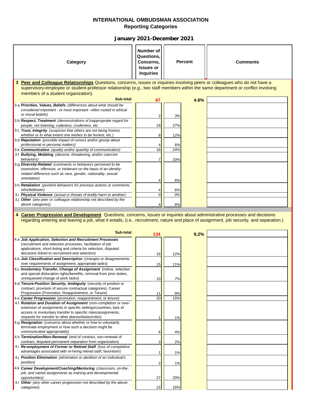| <b>Category</b>                                                                                                                                                                                                                                                 | Number of<br>Questions,<br>Concerns,<br><b>Issues or</b><br><b>Inquiries</b> | <b>Percent</b> |      | <b>Comments</b> |
|-----------------------------------------------------------------------------------------------------------------------------------------------------------------------------------------------------------------------------------------------------------------|------------------------------------------------------------------------------|----------------|------|-----------------|
| 3 Peer and Colleague Relationships Questions, concerns, issues or inquiries involving peers or colleagues who do not have a<br>supervisory-employee or student-professor relationship (e.g., two staff members within the same department or conflict involving |                                                                              |                |      |                 |
| members of a student organization).                                                                                                                                                                                                                             |                                                                              |                |      |                 |
| Sub-total                                                                                                                                                                                                                                                       | 67                                                                           |                | 4.6% |                 |
| 3.a Priorities, Values, Beliefs (differences about what should be<br>considered important - or most important -often rooted in ethical                                                                                                                          |                                                                              |                |      |                 |
| or moral beliefs)                                                                                                                                                                                                                                               | 2                                                                            | 3%             |      |                 |
| 3.b Respect, Treatment (demonstrations of inappropriate regard for                                                                                                                                                                                              |                                                                              |                |      |                 |
| people, not listening, rudeness, crudeness, etc.<br>3.c Trust, Integrity (suspicion that others are not being honest,                                                                                                                                           | 18                                                                           | 27%            |      |                 |
| whether or to what extent one wishes to be honest, etc.)                                                                                                                                                                                                        | 8                                                                            | 12%            |      |                 |
| 3.d <b>Reputation</b> (possible impact of rumors and/or gossip about<br>professional or personal matters)                                                                                                                                                       |                                                                              | 6%             |      |                 |
| 3.e Communication (quality and/or quantity of communication)                                                                                                                                                                                                    | 16                                                                           | 24%            |      |                 |
| 3.f Bullying, Mobbing (abusive, threatening, and/or coercive<br>behaviors)                                                                                                                                                                                      | 7                                                                            | 10%            |      |                 |
| 3.g Diversity-Related (comments or behaviors perceived to be                                                                                                                                                                                                    |                                                                              |                |      |                 |
| insensitive, offensive, or intolerant on the basis of an identity-<br>related difference such as race, gender, nationality, sexual                                                                                                                              |                                                                              |                |      |                 |
| orientation)                                                                                                                                                                                                                                                    |                                                                              | 6%             |      |                 |
| 3.h Retaliation (punitive behaviors for previous actions or comments,<br>whistleblower)                                                                                                                                                                         |                                                                              | 6%             |      |                 |
| 3.i Physical Violence (actual or threats of bodily harm to another)                                                                                                                                                                                             | 0                                                                            | 0%             |      |                 |
| 3.j Other (any peer or colleague relationship not described by the<br>above categories)                                                                                                                                                                         | 4                                                                            | 6%             |      |                 |
| 4 Career Progression and Development Questions, concerns, issues or inquiries about administrative processes and decisions                                                                                                                                      |                                                                              |                |      |                 |
| regarding entering and leaving a job, what it entails, (i.e., recruitment, nature and place of assignment, job security, and separation.)                                                                                                                       |                                                                              |                |      |                 |
| Sub-total                                                                                                                                                                                                                                                       | 134                                                                          |                | 9.2% |                 |
| 4.a Job Application, Selection and Recruitment Processes<br>(recruitment and selection processes, facilitation of job                                                                                                                                           |                                                                              |                |      |                 |
| applications, short-listing and criteria for selection, disputed<br>decisions linked to recruitment and selection)                                                                                                                                              |                                                                              |                |      |                 |
| 4.b <b>Job Classification and Description</b> (changes or disagreements                                                                                                                                                                                         | 16                                                                           | 12%            |      |                 |
| over requirements of assignment, appropriate tasks)                                                                                                                                                                                                             | 15                                                                           | 11%            |      |                 |
| 4.c Involuntary Transfer, Change of Assignment (notice, selection<br>and special dislocation rights/benefits, removal from prior duties,                                                                                                                        |                                                                              |                |      |                 |
| unrequested change of work tasks)<br>4.d Tenure-Position Security, Ambiguity (security of position or                                                                                                                                                           | 10                                                                           | 7%             |      |                 |
| contract, provision of secure contractual categories), Career                                                                                                                                                                                                   |                                                                              |                |      |                 |
| Progression (Promotion, Reappointment, or Tenure)<br>4.e Career Progression (promotion, reappointment, or tenure)                                                                                                                                               | 11<br>20                                                                     | 8%<br>15%      |      |                 |
| 4.f Rotation and Duration of Assignment (non-completion or over-                                                                                                                                                                                                |                                                                              |                |      |                 |
| extension of assignments in specific settings/countries, lack of<br>access or involuntary transfer to specific roles/assignments,                                                                                                                               |                                                                              |                |      |                 |
| requests for transfer to other places/duties/roles)                                                                                                                                                                                                             |                                                                              | 1%             |      |                 |
| 4.g Resignation (concerns about whether or how to voluntarily<br>terminate employment or how such a decision might be                                                                                                                                           |                                                                              |                |      |                 |
| communicated appropriately)                                                                                                                                                                                                                                     | 6                                                                            | 4%             |      |                 |
| 4.h Termination/Non-Renewal (end of contract, non-renewal of<br>contract, disputed permanent separation from organization)                                                                                                                                      | 3                                                                            | 2%             |      |                 |
| 4.i Re-employment of Former or Retired Staff (loss of competitive                                                                                                                                                                                               |                                                                              |                |      |                 |
| advantages associated with re-hiring retired staff, favoritism)<br>4.j Position Elimination (elimination or abolition of an individual's                                                                                                                        | $\mathbf{1}$                                                                 | $1\%$          |      |                 |
| <i>position</i> )                                                                                                                                                                                                                                               | 2                                                                            | 1%             |      |                 |
| 4.k Career Development/Coaching/Mentoring (classroom, on-the-                                                                                                                                                                                                   |                                                                              |                |      |                 |
| job, and varied assignments as training and developmental<br><i>opportunities</i> )<br>4.1 Other (any other career progression not described by the above                                                                                                       | 27                                                                           | 20%            |      |                 |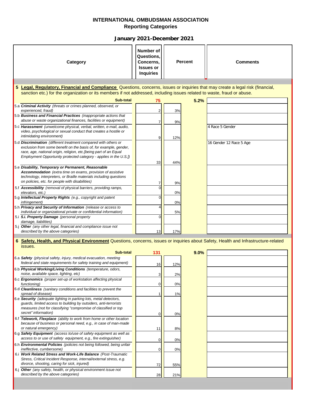| Category                                                                                                                                                                                                                                                                        | Number of<br>Questions.<br>Concerns,<br><b>Issues or</b><br><b>Inquiries</b> |           | <b>Percent</b> | <b>Comments</b>         |  |  |  |
|---------------------------------------------------------------------------------------------------------------------------------------------------------------------------------------------------------------------------------------------------------------------------------|------------------------------------------------------------------------------|-----------|----------------|-------------------------|--|--|--|
| 5 Legal, Regulatory, Financial and Compliance Questions, concerns, issues or inquiries that may create a legal risk (financial,                                                                                                                                                 |                                                                              |           |                |                         |  |  |  |
| sanction etc.) for the organization or its members if not addressed, including issues related to waste, fraud or abuse.                                                                                                                                                         |                                                                              |           |                |                         |  |  |  |
| Sub-total                                                                                                                                                                                                                                                                       | 75                                                                           |           | 5.2%           |                         |  |  |  |
| 5.a Criminal Activity (threats or crimes planned, observed, or<br>experienced, fraud)                                                                                                                                                                                           | 2                                                                            | 3%        |                |                         |  |  |  |
| 5.b Business and Financial Practices (inappropriate actions that<br>abuse or waste organizational finances, facilities or equipment)                                                                                                                                            |                                                                              | 9%        |                |                         |  |  |  |
| 5.c Harassment (unwelcome physical, verbal, written, e-mail, audio,<br>video, psychological or sexual conduct that creates a hostile or<br>intimidating environment)                                                                                                            | 9                                                                            | 12%       |                | 4 Race 5 Gender         |  |  |  |
| 5.d Discrimination (different treatment compared with others or<br>exclusion from some benefit on the basis of, for example, gender,<br>race, age, national origin, religion, etc. [being part of an Equal<br>Employment Opportunity protected category - applies in the U.S.]) |                                                                              |           |                | 16 Gender 12 Race 5 Age |  |  |  |
| 5.e Disability, Temporary or Permanent, Reasonable<br>Accommodation (extra time on exams, provision of assistive<br>technology, interpreters, or Braille materials including questions<br>on policies, etc. for people with disabilities)                                       | 33                                                                           | 44%<br>9% |                |                         |  |  |  |
| 5.f Accessibility (removal of physical barriers, providing ramps,<br>elevators, etc.)                                                                                                                                                                                           |                                                                              | 0%        |                |                         |  |  |  |
| 5.g Intellectual Property Rights (e.g., copyright and patent<br><i>infringement</i> )                                                                                                                                                                                           | U                                                                            | $0\%$     |                |                         |  |  |  |
| 5.h Privacy and Security of Information (release or access to<br>individual or organizational private or confidential information)                                                                                                                                              |                                                                              | 5%        |                |                         |  |  |  |
| 5.i 5.i. Property Damage (personal property<br>damage, liabilities)                                                                                                                                                                                                             |                                                                              |           |                |                         |  |  |  |
| 5.j Other (any other legal, financial and compliance issue not<br>described by the above categories)                                                                                                                                                                            | 13                                                                           | 17%       |                |                         |  |  |  |
| 6 Safety, Health, and Physical Environment Questions, concerns, issues or inquiries about Safety, Health and Infrastructure-related<br>issues.                                                                                                                                  |                                                                              |           |                |                         |  |  |  |

| Sub-total                                                                                                                                                                                                                       | 131 |     | 9.0% |  |
|---------------------------------------------------------------------------------------------------------------------------------------------------------------------------------------------------------------------------------|-----|-----|------|--|
| 6.a Safety (physical safety, injury, medical evacuation, meeting<br>federal and state requirements for safety training and equipment)                                                                                           | 16  | 12% |      |  |
| 6.b Physical Working/Living Conditions (temperature, odors,<br>noise, available space, lighting, etc)                                                                                                                           |     | 2%  |      |  |
| 6.c Ergonomics (proper set-up of workstation affecting physical<br>functioning)                                                                                                                                                 |     | 0%  |      |  |
| 6.d Cleanliness (sanitary conditions and facilities to prevent the<br>spread of disease)                                                                                                                                        |     | 1%  |      |  |
| 6.e Security (adequate lighting in parking lots, metal detectors,<br>guards, limited access to building by outsiders, anti-terrorists<br>measures (not for classifying "compromise of classified or top<br>secret" information) |     | 0%  |      |  |
| 6.f Telework, Flexplace (ability to work from home or other location<br>because of business or personal need, e.g., in case of man-made<br>or natural emergency)                                                                | 11  | 8%  |      |  |
| 6.g Safety Equipment (access to/use of safety equipment as well as<br>access to or use of safety equipment, e.g., fire extinguisher)                                                                                            |     | 0%  |      |  |
| 6.h Environmental Policies (policies not being followed, being unfair<br>ineffective, cumbersome)                                                                                                                               |     | 0%  |      |  |
| 6.i Work Related Stress and Work-Life Balance (Post-Traumatic<br>Stress, Critical Incident Response, internal/external stress, e.g.<br>divorce, shooting, caring for sick, injured)                                             | 72  | 55% |      |  |
| 6.j Other (any safety, health, or physical environment issue not<br>described by the above categories)                                                                                                                          | 28  | 21% |      |  |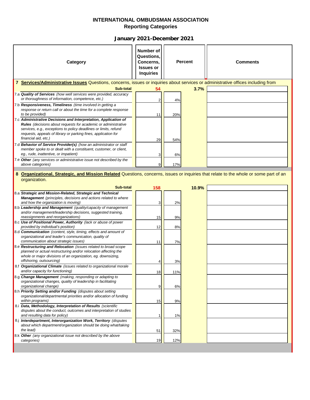| Category                                                                                                                                                                                                                                                                                               | Number of<br>Questions,<br>Concerns,<br><b>Issues or</b><br><b>Inquiries</b> |     | <b>Percent</b> | <b>Comments</b> |
|--------------------------------------------------------------------------------------------------------------------------------------------------------------------------------------------------------------------------------------------------------------------------------------------------------|------------------------------------------------------------------------------|-----|----------------|-----------------|
| 7 Services/Administrative Issues Questions, concerns, issues or inquiries about services or administrative offices including from                                                                                                                                                                      |                                                                              |     |                |                 |
| Sub-total                                                                                                                                                                                                                                                                                              | 54                                                                           |     | 3.7%           |                 |
| 7.a Quality of Services (how well services were provided, accuracy<br>or thoroughness of information, competence, etc.)                                                                                                                                                                                | 2                                                                            | 4%  |                |                 |
| 7.b Responsiveness, Timeliness (time involved in getting a<br>response or return call or about the time for a complete response<br>to be provided)                                                                                                                                                     | 11                                                                           | 20% |                |                 |
| 7.c Administrative Decisions and Interpretation, Application of<br><b>Rules</b> (decisions about requests for academic or administrative<br>services, e.g., exceptions to policy deadlines or limits, refund<br>requests, appeals of library or parking fines, application for<br>financial aid, etc.) | 29                                                                           | 54% |                |                 |
| 7.d Behavior of Service Provider(s) (how an administrator or staff<br>member spoke to or dealt with a constituent, customer, or client,<br>eg., rude, inattentive, or impatient)                                                                                                                       | 3                                                                            | 6%  |                |                 |
| 7.e Other (any services or administrative issue not described by the<br>above categories)                                                                                                                                                                                                              | 9                                                                            | 17% |                |                 |
| 8 Organizational, Strategic, and Mission Related Questions, concerns, issues or inquiries that relate to the whole or some part of an                                                                                                                                                                  |                                                                              |     |                |                 |
| organization.                                                                                                                                                                                                                                                                                          |                                                                              |     |                |                 |
|                                                                                                                                                                                                                                                                                                        |                                                                              |     |                |                 |
| <b>Sub-total</b>                                                                                                                                                                                                                                                                                       | 158                                                                          |     | 10.9%          |                 |
| 8.a Strategic and Mission-Related, Strategic and Technical                                                                                                                                                                                                                                             |                                                                              |     |                |                 |
| <b>Management</b> (principles, decisions and actions related to where                                                                                                                                                                                                                                  |                                                                              |     |                |                 |
| and how the organization is moving)                                                                                                                                                                                                                                                                    | 3                                                                            | 2%  |                |                 |
| 8.b Leadership and Management (quality/capacity of management<br>and/or management/leadership decisions, suggested training,                                                                                                                                                                           |                                                                              |     |                |                 |
| reassignments and reorganizations)                                                                                                                                                                                                                                                                     | 15                                                                           | 9%  |                |                 |
| 8.c Use of Positional Power, Authority (lack or abuse of power                                                                                                                                                                                                                                         |                                                                              |     |                |                 |
| provided by individual's position)                                                                                                                                                                                                                                                                     | 12                                                                           | 8%  |                |                 |
| 8.d <b>Communication</b> (content, style, timing, effects and amount of<br>organizational and leader's communication, quality of                                                                                                                                                                       |                                                                              |     |                |                 |
| communication about strategic issues)                                                                                                                                                                                                                                                                  | 11                                                                           | 7%  |                |                 |
| 8.e Restructuring and Relocation (issues related to broad scope                                                                                                                                                                                                                                        |                                                                              |     |                |                 |
| planned or actual restructuring and/or relocation affecting the                                                                                                                                                                                                                                        |                                                                              |     |                |                 |
| whole or major divisions of an organization, eg. downsizing,<br>offshoring, outsourcing)                                                                                                                                                                                                               |                                                                              |     |                |                 |
| 8.f Organizational Climate (issues related to organizational morale                                                                                                                                                                                                                                    |                                                                              | 3%  |                |                 |
| and/or capacity for functioning)                                                                                                                                                                                                                                                                       | 18                                                                           | 11% |                |                 |
| 8.g Change Management (making, responding or adapting to                                                                                                                                                                                                                                               |                                                                              |     |                |                 |
| organizational changes, quality of leadership in facilitating<br>organizational change)                                                                                                                                                                                                                | 9                                                                            | 6%  |                |                 |
| 8.h Priority Setting and/or Funding (disputes about setting                                                                                                                                                                                                                                            |                                                                              |     |                |                 |
| organizational/departmental priorities and/or allocation of funding                                                                                                                                                                                                                                    |                                                                              |     |                |                 |
| within programs)                                                                                                                                                                                                                                                                                       | 15                                                                           | 9%  |                |                 |
| 8.i Data, Methodology, Interpretation of Results (scientific<br>disputes about the conduct, outcomes and interpretation of studies                                                                                                                                                                     |                                                                              |     |                |                 |
| and resulting data for policy)                                                                                                                                                                                                                                                                         | 1                                                                            | 1%  |                |                 |
| 8.j Interdepartment, Interorganization Work, Territory (disputes                                                                                                                                                                                                                                       |                                                                              |     |                |                 |
| about which department/organization should be doing what/taking<br>the lead)                                                                                                                                                                                                                           | 51                                                                           | 32% |                |                 |
| 8.k Other (any organizational issue not described by the above                                                                                                                                                                                                                                         |                                                                              |     |                |                 |
| categories)                                                                                                                                                                                                                                                                                            | 19                                                                           | 12% |                |                 |